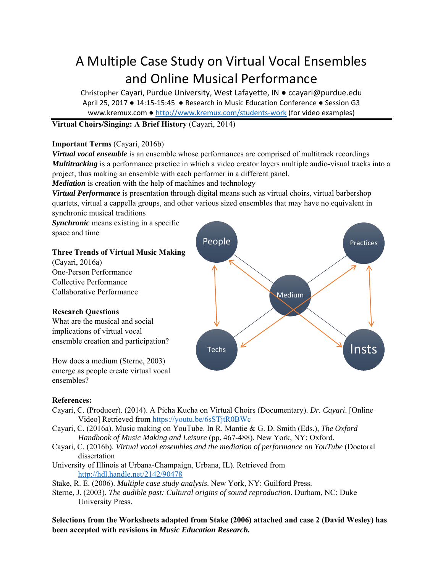# A Multiple Case Study on Virtual Vocal Ensembles and Online Musical Performance

Christopher Cayari, Purdue University, West Lafayette, IN ● ccayari@purdue.edu April 25, 2017 • 14:15-15:45 • Research in Music Education Conference • Session G3 www.kremux.com ● http://www.kremux.com/students‐work (for video examples)

## **Virtual Choirs/Singing: A Brief History** (Cayari, 2014)

#### **Important Terms** (Cayari, 2016b)

*Virtual vocal ensemble* is an ensemble whose performances are comprised of multitrack recordings *Multitracking* is a performance practice in which a video creator layers multiple audio-visual tracks into a project, thus making an ensemble with each performer in a different panel.

*Mediation* is creation with the help of machines and technology

*Virtual Performance* is presentation through digital means such as virtual choirs, virtual barbershop quartets, virtual a cappella groups, and other various sized ensembles that may have no equivalent in synchronic musical traditions

*Synchronic* means existing in a specific space and time

## **Three Trends of Virtual Music Making**

(Cayari, 2016a) One-Person Performance Collective Performance Collaborative Performance

## **Research Questions**

What are the musical and social implications of virtual vocal ensemble creation and participation?

How does a medium (Sterne, 2003) emerge as people create virtual vocal ensembles?



#### **References:**

- Cayari, C. (Producer). (2014). A Picha Kucha on Virtual Choirs (Documentary). *Dr. Cayari*. [Online Video] Retrieved from https://youtu.be/6sSTjtR0BWc
- Cayari, C. (2016a). Music making on YouTube. In R. Mantie & G. D. Smith (Eds.), *The Oxford Handbook of Music Making and Leisure* (pp. 467-488). New York, NY: Oxford.
- Cayari, C. (2016b). *Virtual vocal ensembles and the mediation of performance on YouTube* (Doctoral dissertation
- University of Illinois at Urbana-Champaign, Urbana, IL). Retrieved from http://hdl.handle.net/2142/90478

Stake, R. E. (2006). *Multiple case study analysis*. New York, NY: Guilford Press.

Sterne, J. (2003). *The audible past: Cultural origins of sound reproduction*. Durham, NC: Duke University Press.

**Selections from the Worksheets adapted from Stake (2006) attached and case 2 (David Wesley) has been accepted with revisions in** *Music Education Research.*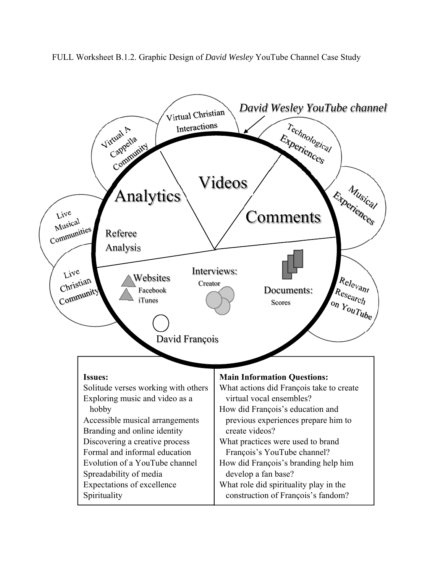FULL Worksheet B.1.2. Graphic Design of *David Wesley* YouTube Channel Case Study

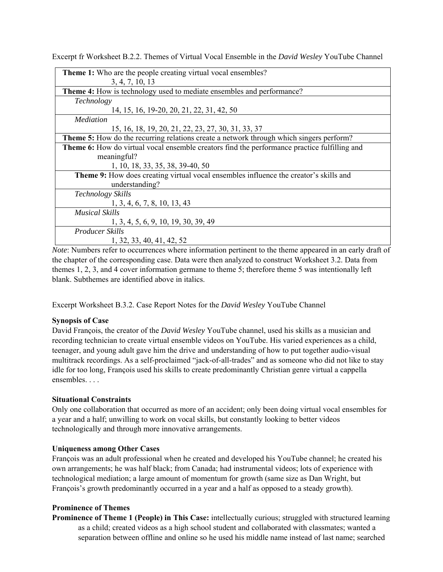| <b>Theme 1:</b> Who are the people creating virtual vocal ensembles?                                      |
|-----------------------------------------------------------------------------------------------------------|
| 3, 4, 7, 10, 13                                                                                           |
| Theme 4: How is technology used to mediate ensembles and performance?                                     |
| Technology                                                                                                |
| 14, 15, 16, 19-20, 20, 21, 22, 31, 42, 50                                                                 |
| <i>Mediation</i>                                                                                          |
| 15, 16, 18, 19, 20, 21, 22, 23, 27, 30, 31, 33, 37                                                        |
| Theme 5: How do the recurring relations create a network through which singers perform?                   |
| Theme 6: How do virtual vocal ensemble creators find the performance practice fulfilling and              |
| meaningful?                                                                                               |
| 1, 10, 18, 33, 35, 38, 39-40, 50                                                                          |
| Theme 9: How does creating virtual vocal ensembles influence the creator's skills and                     |
| understanding?                                                                                            |
| <b>Technology Skills</b>                                                                                  |
| 1, 3, 4, 6, 7, 8, 10, 13, 43                                                                              |
| <b>Musical Skills</b>                                                                                     |
| 1, 3, 4, 5, 6, 9, 10, 19, 30, 39, 49                                                                      |
| Producer Skills                                                                                           |
| 1, 32, 33, 40, 41, 42, 52                                                                                 |
| Note: Numbers refer to essure nego where information pertinent to the theme enpeared in an early draft of |

Excerpt fr Worksheet B.2.2. Themes of Virtual Vocal Ensemble in the *David Wesley* YouTube Channel

*Note*: Numbers refer to occurrences where information pertinent to the theme appeared in an early draft of the chapter of the corresponding case. Data were then analyzed to construct Worksheet 3.2. Data from themes 1, 2, 3, and 4 cover information germane to theme 5; therefore theme 5 was intentionally left blank. Subthemes are identified above in italics.

Excerpt Worksheet B.3.2. Case Report Notes for the *David Wesley* YouTube Channel

#### **Synopsis of Case**

David François, the creator of the *David Wesley* YouTube channel, used his skills as a musician and recording technician to create virtual ensemble videos on YouTube. His varied experiences as a child, teenager, and young adult gave him the drive and understanding of how to put together audio-visual multitrack recordings. As a self-proclaimed "jack-of-all-trades" and as someone who did not like to stay idle for too long, François used his skills to create predominantly Christian genre virtual a cappella ensembles. . . .

#### **Situational Constraints**

Only one collaboration that occurred as more of an accident; only been doing virtual vocal ensembles for a year and a half; unwilling to work on vocal skills, but constantly looking to better videos technologically and through more innovative arrangements.

#### **Uniqueness among Other Cases**

François was an adult professional when he created and developed his YouTube channel; he created his own arrangements; he was half black; from Canada; had instrumental videos; lots of experience with technological mediation; a large amount of momentum for growth (same size as Dan Wright, but François's growth predominantly occurred in a year and a half as opposed to a steady growth).

#### **Prominence of Themes**

**Prominence of Theme 1 (People) in This Case:** intellectually curious; struggled with structured learning as a child; created videos as a high school student and collaborated with classmates; wanted a separation between offline and online so he used his middle name instead of last name; searched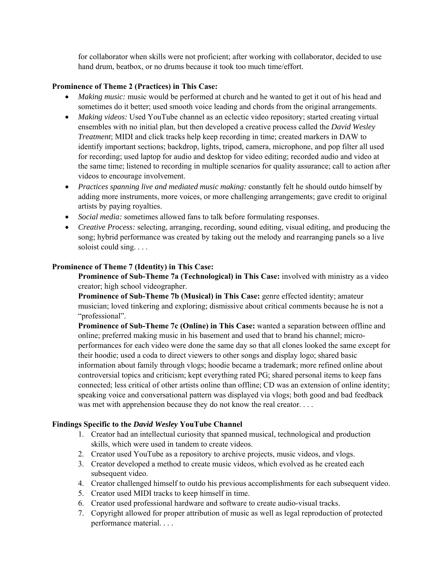for collaborator when skills were not proficient; after working with collaborator, decided to use hand drum, beatbox, or no drums because it took too much time/effort.

#### **Prominence of Theme 2 (Practices) in This Case:**

- *Making music:* music would be performed at church and he wanted to get it out of his head and sometimes do it better; used smooth voice leading and chords from the original arrangements.
- *Making videos:* Used YouTube channel as an eclectic video repository; started creating virtual ensembles with no initial plan, but then developed a creative process called the *David Wesley Treatment*; MIDI and click tracks help keep recording in time; created markers in DAW to identify important sections; backdrop, lights, tripod, camera, microphone, and pop filter all used for recording; used laptop for audio and desktop for video editing; recorded audio and video at the same time; listened to recording in multiple scenarios for quality assurance; call to action after videos to encourage involvement.
- *Practices spanning live and mediated music making:* constantly felt he should outdo himself by adding more instruments, more voices, or more challenging arrangements; gave credit to original artists by paying royalties.
- *Social media:* sometimes allowed fans to talk before formulating responses.
- *Creative Process:* selecting, arranging, recording, sound editing, visual editing, and producing the song; hybrid performance was created by taking out the melody and rearranging panels so a live soloist could sing. . . .

### **Prominence of Theme 7 (Identity) in This Case:**

**Prominence of Sub-Theme 7a (Technological) in This Case:** involved with ministry as a video creator; high school videographer.

**Prominence of Sub-Theme 7b (Musical) in This Case:** genre effected identity; amateur musician; loved tinkering and exploring; dismissive about critical comments because he is not a "professional".

**Prominence of Sub-Theme 7c (Online) in This Case:** wanted a separation between offline and online; preferred making music in his basement and used that to brand his channel; microperformances for each video were done the same day so that all clones looked the same except for their hoodie; used a coda to direct viewers to other songs and display logo; shared basic information about family through vlogs; hoodie became a trademark; more refined online about controversial topics and criticism; kept everything rated PG; shared personal items to keep fans connected; less critical of other artists online than offline; CD was an extension of online identity; speaking voice and conversational pattern was displayed via vlogs; both good and bad feedback was met with apprehension because they do not know the real creator. . . .

#### **Findings Specific to the** *David Wesley* **YouTube Channel**

- 1. Creator had an intellectual curiosity that spanned musical, technological and production skills, which were used in tandem to create videos.
- 2. Creator used YouTube as a repository to archive projects, music videos, and vlogs.
- 3. Creator developed a method to create music videos, which evolved as he created each subsequent video.
- 4. Creator challenged himself to outdo his previous accomplishments for each subsequent video.
- 5. Creator used MIDI tracks to keep himself in time.
- 6. Creator used professional hardware and software to create audio-visual tracks.
- 7. Copyright allowed for proper attribution of music as well as legal reproduction of protected performance material. . . .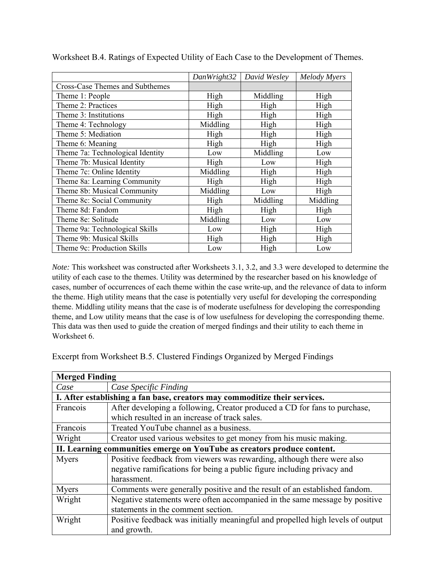|                                  | DanWright32 | David Wesley | <b>Melody Myers</b> |
|----------------------------------|-------------|--------------|---------------------|
| Cross-Case Themes and Subthemes  |             |              |                     |
| Theme 1: People                  | High        | Middling     | High                |
| Theme 2: Practices               | High        | High         | High                |
| Theme 3: Institutions            | High        | High         | High                |
| Theme 4: Technology              | Middling    | High         | High                |
| Theme 5: Mediation               | High        | High         | High                |
| Theme 6: Meaning                 | High        | High         | High                |
| Theme 7a: Technological Identity | Low         | Middling     | Low                 |
| Theme 7b: Musical Identity       | High        | Low          | High                |
| Theme 7c: Online Identity        | Middling    | High         | High                |
| Theme 8a: Learning Community     | High        | High         | High                |
| Theme 8b: Musical Community      | Middling    | Low          | High                |
| Theme 8c: Social Community       | High        | Middling     | Middling            |
| Theme 8d: Fandom                 | High        | High         | High                |
| Theme 8e: Solitude               | Middling    | Low          | Low                 |
| Theme 9a: Technological Skills   | Low         | High         | High                |
| Theme 9b: Musical Skills         | High        | High         | High                |
| Theme 9c: Production Skills      | Low         | High         | Low                 |

Worksheet B.4. Ratings of Expected Utility of Each Case to the Development of Themes.

*Note:* This worksheet was constructed after Worksheets 3.1, 3.2, and 3.3 were developed to determine the utility of each case to the themes. Utility was determined by the researcher based on his knowledge of cases, number of occurrences of each theme within the case write-up, and the relevance of data to inform the theme. High utility means that the case is potentially very useful for developing the corresponding theme. Middling utility means that the case is of moderate usefulness for developing the corresponding theme, and Low utility means that the case is of low usefulness for developing the corresponding theme. This data was then used to guide the creation of merged findings and their utility to each theme in Worksheet 6.

Excerpt from Worksheet B.5. Clustered Findings Organized by Merged Findings

| <b>Merged Finding</b>                                                      |                                                                                |  |  |  |  |
|----------------------------------------------------------------------------|--------------------------------------------------------------------------------|--|--|--|--|
| Case                                                                       | Case Specific Finding                                                          |  |  |  |  |
| I. After establishing a fan base, creators may commoditize their services. |                                                                                |  |  |  |  |
| Francois                                                                   | After developing a following, Creator produced a CD for fans to purchase,      |  |  |  |  |
|                                                                            | which resulted in an increase of track sales.                                  |  |  |  |  |
| Francois                                                                   | Treated YouTube channel as a business.                                         |  |  |  |  |
| Wright                                                                     | Creator used various websites to get money from his music making.              |  |  |  |  |
| II. Learning communities emerge on YouTube as creators produce content.    |                                                                                |  |  |  |  |
| <b>Myers</b>                                                               | Positive feedback from viewers was rewarding, although there were also         |  |  |  |  |
|                                                                            | negative ramifications for being a public figure including privacy and         |  |  |  |  |
|                                                                            | harassment.                                                                    |  |  |  |  |
| Myers                                                                      | Comments were generally positive and the result of an established fandom.      |  |  |  |  |
| Wright                                                                     | Negative statements were often accompanied in the same message by positive     |  |  |  |  |
|                                                                            | statements in the comment section.                                             |  |  |  |  |
| Wright                                                                     | Positive feedback was initially meaningful and propelled high levels of output |  |  |  |  |
|                                                                            | and growth.                                                                    |  |  |  |  |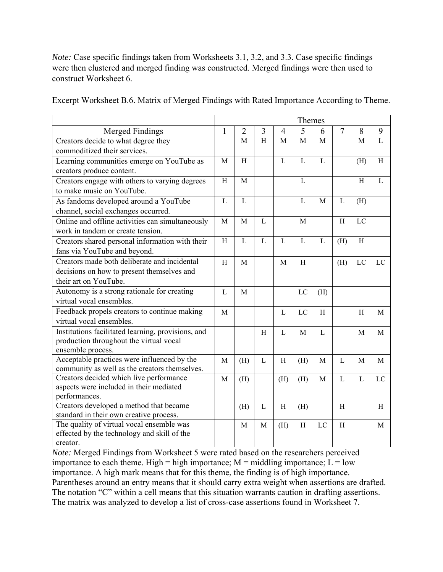*Note:* Case specific findings taken from Worksheets 3.1, 3.2, and 3.3. Case specific findings were then clustered and merged finding was constructed. Merged findings were then used to construct Worksheet 6.

Excerpt Worksheet B.6. Matrix of Merged Findings with Rated Importance According to Theme.

|                                                                                    |              |                |              |                | Themes         |              |                |              |                |
|------------------------------------------------------------------------------------|--------------|----------------|--------------|----------------|----------------|--------------|----------------|--------------|----------------|
| <b>Merged Findings</b>                                                             | $\mathbf{1}$ | $\overline{2}$ | 3            | $\overline{4}$ | 5              | 6            | $\overline{7}$ | 8            | 9              |
| Creators decide to what degree they                                                |              | $\mathbf{M}$   | H            | M              | M              | M            |                | M            | $\overline{L}$ |
| commoditized their services.                                                       |              |                |              |                |                |              |                |              |                |
| Learning communities emerge on YouTube as                                          | M            | H              |              | L              | L              | L            |                | (H)          | H              |
| creators produce content.                                                          |              |                |              |                |                |              |                |              |                |
| Creators engage with others to varying degrees                                     | H            | $\mathbf{M}$   |              |                | L              |              |                | H            | L              |
| to make music on YouTube.                                                          |              |                |              |                |                |              |                |              |                |
| As fandoms developed around a YouTube                                              | $\mathbf{L}$ | $\mathbf{L}$   |              |                | L              | M            | $\mathbf{L}$   | (H)          |                |
| channel, social exchanges occurred.                                                |              |                |              |                |                |              |                |              |                |
| Online and offline activities can simultaneously                                   | M            | M              | $\mathbf{L}$ |                | M              |              | H              | LC           |                |
| work in tandem or create tension.                                                  |              |                |              |                |                |              |                |              |                |
| Creators shared personal information with their                                    | $\rm H$      | $\mathbf{L}$   | $\mathbf{L}$ | $\mathbf{L}$   | $\overline{L}$ | $\mathbf{L}$ | (H)            | H            |                |
| fans via YouTube and beyond.                                                       |              |                |              |                |                |              |                |              |                |
| Creators made both deliberate and incidental                                       | H            | M              |              | M              | H              |              | (H)            | LC           | LC             |
| decisions on how to present themselves and                                         |              |                |              |                |                |              |                |              |                |
| their art on YouTube.                                                              |              |                |              |                |                |              |                |              |                |
| Autonomy is a strong rationale for creating                                        | $\mathbf{L}$ | M              |              |                | LC             | (H)          |                |              |                |
| virtual vocal ensembles.                                                           |              |                |              |                |                |              |                |              |                |
| Feedback propels creators to continue making                                       | $\mathbf{M}$ |                |              | L              | LC             | H            |                | H            | M              |
| virtual vocal ensembles.                                                           |              |                |              |                |                |              |                |              |                |
| Institutions facilitated learning, provisions, and                                 |              |                | $\,$ H       | $\mathbf{L}$   | M              | $\mathbf{L}$ |                | M            | M              |
| production throughout the virtual vocal                                            |              |                |              |                |                |              |                |              |                |
| ensemble process.                                                                  |              |                |              |                |                |              |                |              |                |
| Acceptable practices were influenced by the                                        | M            | (H)            | L            | H              | (H)            | M            | L              | M            | M              |
| community as well as the creators themselves.                                      |              |                |              |                |                |              |                |              |                |
| Creators decided which live performance<br>aspects were included in their mediated | M            | (H)            |              | (H)            | (H)            | M            | L              | $\mathbf{L}$ | LC             |
| performances.                                                                      |              |                |              |                |                |              |                |              |                |
| Creators developed a method that became                                            |              | (H)            | $\mathbf{L}$ | $\, {\rm H}$   | (H)            |              | H              |              | H              |
| standard in their own creative process.                                            |              |                |              |                |                |              |                |              |                |
| The quality of virtual vocal ensemble was                                          |              | M              | M            | (H)            | $\rm H$        | LC           | H              |              | M              |
| effected by the technology and skill of the                                        |              |                |              |                |                |              |                |              |                |
| creator.                                                                           |              |                |              |                |                |              |                |              |                |

*Note:* Merged Findings from Worksheet 5 were rated based on the researchers perceived importance to each theme. High = high importance;  $M =$  middling importance;  $L =$  low importance. A high mark means that for this theme, the finding is of high importance. Parentheses around an entry means that it should carry extra weight when assertions are drafted. The notation "C" within a cell means that this situation warrants caution in drafting assertions. The matrix was analyzed to develop a list of cross-case assertions found in Worksheet 7.